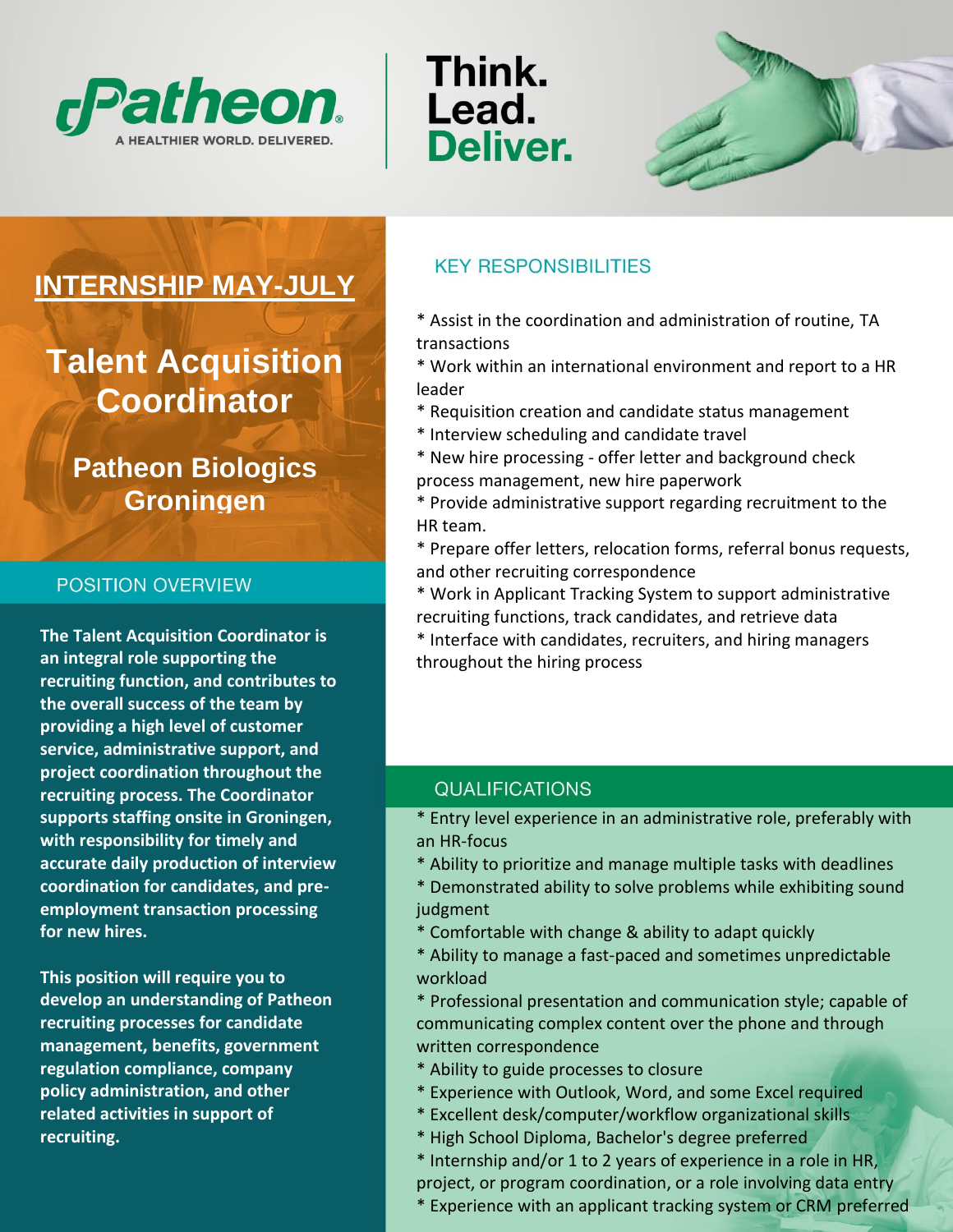

Think. Lead. **Deliver.** 



# **INTERNSHIP MAY-JULY**

**Talent Acquisition Coordinator**

# **Patheon Biologics Groningen**

#### POSITION OVERVIEW

**The Talent Acquisition Coordinator is an integral role supporting the recruiting function, and contributes to the overall success of the team by providing a high level of customer service, administrative support, and project coordination throughout the recruiting process. The Coordinator supports staffing onsite in Groningen, with responsibility for timely and accurate daily production of interview coordination for candidates, and preemployment transaction processing for new hires.**

**This position will require you to develop an understanding of Patheon recruiting processes for candidate management, benefits, government regulation compliance, company policy administration, and other related activities in support of recruiting.**

# **KEY RESPONSIBILITIES**

\* Assist in the coordination and administration of routine, TA transactions

\* Work within an international environment and report to a HR leader

- \* Requisition creation and candidate status management
- \* Interview scheduling and candidate travel
- \* New hire processing offer letter and background check process management, new hire paperwork
- \* Provide administrative support regarding recruitment to the HR team.
- \* Prepare offer letters, relocation forms, referral bonus requests, and other recruiting correspondence
- \* Work in Applicant Tracking System to support administrative recruiting functions, track candidates, and retrieve data
- \* Interface with candidates, recruiters, and hiring managers throughout the hiring process

## **QUALIFICATIONS**

\* Entry level experience in an administrative role, preferably with an HR-focus

- \* Ability to prioritize and manage multiple tasks with deadlines
- \* Demonstrated ability to solve problems while exhibiting sound judgment
- \* Comfortable with change & ability to adapt quickly
- \* Ability to manage a fast-paced and sometimes unpredictable workload
- \* Professional presentation and communication style; capable of communicating complex content over the phone and through written correspondence
- \* Ability to guide processes to closure
- \* Experience with Outlook, Word, and some Excel required
- \* Excellent desk/computer/workflow organizational skills
- \* High School Diploma, Bachelor's degree preferred
- \* Internship and/or 1 to 2 years of experience in a role in HR, project, or program coordination, or a role involving data entry
- \* Experience with an applicant tracking system or CRM preferred